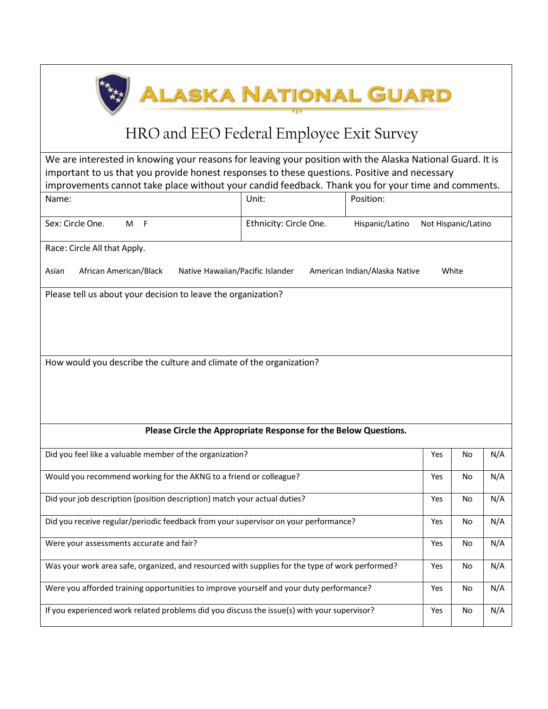## <u>Alaska National Guard</u>

## HRO and EEO Federal Employee Exit Survey

We are interested in knowing your reasons for leaving your position with the Alaska National Guard. It is important to us that you provide honest responses to these questions. Positive and necessary improvements cannot take place without your candid feedback. Thank you for your time and comments.

| Name:                                                                                                         | Unit:                                                           | Position:                              |     |           |     |  |
|---------------------------------------------------------------------------------------------------------------|-----------------------------------------------------------------|----------------------------------------|-----|-----------|-----|--|
| Sex: Circle One.<br>M F                                                                                       | Ethnicity: Circle One.                                          | Hispanic/Latino<br>Not Hispanic/Latino |     |           |     |  |
| Race: Circle All that Apply.                                                                                  |                                                                 |                                        |     |           |     |  |
| African American/Black<br>Native Hawaiian/Pacific Islander<br>White<br>Asian<br>American Indian/Alaska Native |                                                                 |                                        |     |           |     |  |
| Please tell us about your decision to leave the organization?                                                 |                                                                 |                                        |     |           |     |  |
| How would you describe the culture and climate of the organization?                                           |                                                                 |                                        |     |           |     |  |
|                                                                                                               | Please Circle the Appropriate Response for the Below Questions. |                                        |     |           |     |  |
| Did you feel like a valuable member of the organization?                                                      |                                                                 |                                        | Yes | No        | N/A |  |
| Would you recommend working for the AKNG to a friend or colleague?                                            |                                                                 |                                        | Yes | No        | N/A |  |
| Did your job description (position description) match your actual duties?                                     |                                                                 |                                        | Yes | No        | N/A |  |
| Did you receive regular/periodic feedback from your supervisor on your performance?                           |                                                                 |                                        | Yes | No        | N/A |  |
| Were your assessments accurate and fair?                                                                      |                                                                 |                                        | Yes | No        | N/A |  |
| Was your work area safe, organized, and resourced with supplies for the type of work performed?               |                                                                 |                                        | Yes | No        | N/A |  |
| Were you afforded training opportunities to improve yourself and your duty performance?                       |                                                                 |                                        | Yes | <b>No</b> | N/A |  |
| If you experienced work related problems did you discuss the issue(s) with your supervisor?                   |                                                                 | Yes                                    | No. | N/A       |     |  |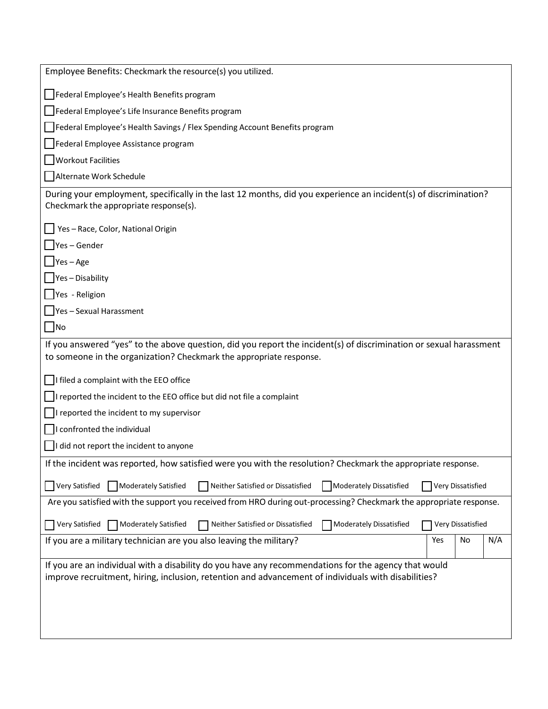| Employee Benefits: Checkmark the resource(s) you utilized.                                                                                                                                                  |  |  |  |  |  |
|-------------------------------------------------------------------------------------------------------------------------------------------------------------------------------------------------------------|--|--|--|--|--|
| Federal Employee's Health Benefits program                                                                                                                                                                  |  |  |  |  |  |
| Federal Employee's Life Insurance Benefits program                                                                                                                                                          |  |  |  |  |  |
| Federal Employee's Health Savings / Flex Spending Account Benefits program                                                                                                                                  |  |  |  |  |  |
| Federal Employee Assistance program                                                                                                                                                                         |  |  |  |  |  |
| <b>Workout Facilities</b>                                                                                                                                                                                   |  |  |  |  |  |
| Alternate Work Schedule                                                                                                                                                                                     |  |  |  |  |  |
| During your employment, specifically in the last 12 months, did you experience an incident(s) of discrimination?<br>Checkmark the appropriate response(s).                                                  |  |  |  |  |  |
| Yes-Race, Color, National Origin                                                                                                                                                                            |  |  |  |  |  |
| $Yes - Gender$                                                                                                                                                                                              |  |  |  |  |  |
| $\bigcup$ Yes – Age                                                                                                                                                                                         |  |  |  |  |  |
| $\Box$ Yes - Disability                                                                                                                                                                                     |  |  |  |  |  |
| Yes - Religion                                                                                                                                                                                              |  |  |  |  |  |
| Yes - Sexual Harassment                                                                                                                                                                                     |  |  |  |  |  |
| No                                                                                                                                                                                                          |  |  |  |  |  |
| If you answered "yes" to the above question, did you report the incident(s) of discrimination or sexual harassment                                                                                          |  |  |  |  |  |
| to someone in the organization? Checkmark the appropriate response.                                                                                                                                         |  |  |  |  |  |
| I filed a complaint with the EEO office                                                                                                                                                                     |  |  |  |  |  |
| I reported the incident to the EEO office but did not file a complaint                                                                                                                                      |  |  |  |  |  |
| I reported the incident to my supervisor                                                                                                                                                                    |  |  |  |  |  |
| I confronted the individual                                                                                                                                                                                 |  |  |  |  |  |
| $\vert$ I did not report the incident to anyone                                                                                                                                                             |  |  |  |  |  |
| If the incident was reported, how satisfied were you with the resolution? Checkmark the appropriate response.                                                                                               |  |  |  |  |  |
| Moderately Dissatisfied<br>Very Satisfied<br>Moderately Satisfied<br>Neither Satisfied or Dissatisfied<br>Very Dissatisfied                                                                                 |  |  |  |  |  |
| Are you satisfied with the support you received from HRO during out-processing? Checkmark the appropriate response.                                                                                         |  |  |  |  |  |
| Very Satisfied<br>Moderately Satisfied<br>Neither Satisfied or Dissatisfied<br><b>Moderately Dissatisfied</b><br>Very Dissatisfied                                                                          |  |  |  |  |  |
| If you are a military technician are you also leaving the military?<br>N/A<br>Yes<br>No                                                                                                                     |  |  |  |  |  |
|                                                                                                                                                                                                             |  |  |  |  |  |
| If you are an individual with a disability do you have any recommendations for the agency that would<br>improve recruitment, hiring, inclusion, retention and advancement of individuals with disabilities? |  |  |  |  |  |
|                                                                                                                                                                                                             |  |  |  |  |  |
|                                                                                                                                                                                                             |  |  |  |  |  |
|                                                                                                                                                                                                             |  |  |  |  |  |
|                                                                                                                                                                                                             |  |  |  |  |  |